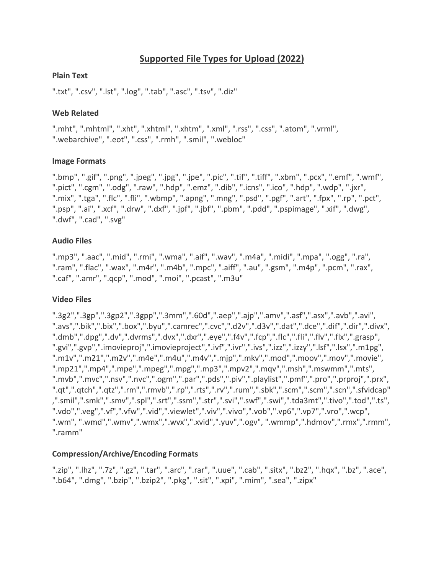# **Supported File Types for Upload (2022)**

### **Plain Text**

".txt", ".csv", ".lst", ".log", ".tab", ".asc", ".tsv", ".diz"

## **Web Related**

".mht", ".mhtml", ".xht", ".xhtml", ".xhtm", ".xml", ".rss", ".css", ".atom", ".vrml", ".webarchive", ".eot", ".css", ".rmh", ".smil", ".webloc"

### **Image Formats**

".bmp", ".gif", ".png", ".jpeg", ".jpg", ".jpe", ".pic", ".tif", ".tiff", ".xbm", ".pcx", ".emf", ".wmf", ".pict", ".cgm", ".odg", ".raw", ".hdp", ".emz", ".dib", ".icns", ".ico", ".hdp", ".wdp", ".jxr", ".mix", ".tga", ".flc", ".fli", ".wbmp", ".apng", ".mng", ".psd", ".pgf", ".art", ".fpx", ".rp", ".pct", ".psp", ".ai", ".xcf", ".drw", ".dxf", ".jpf", ".jbf", ".pbm", ".pdd", ".pspimage", ".xif", ".dwg", ".dwf", ".cad", ".svg"

### **Audio Files**

".mp3", ".aac", ".mid", ".rmi", ".wma", ".aif", ".wav", ".m4a", ".midi", ".mpa", ".ogg", ".ra", ".ram", ".flac", ".wax", ".m4r", ".m4b", ".mpc", ".aiff", ".au", ".gsm", ".m4p", ".pcm", ".rax", ".caf", ".amr", ".qcp", ".mod", ".moi", ".pcast", ".m3u"

## **Video Files**

".3g2",".3gp",".3gp2",".3gpp",".3mm",".60d",".aep",".ajp",".amv",".asf",".asx",".avb",".avi", ".avs",".bik",".bix",".box",".byu",".camrec",".cvc",".d2v",".d3v",".dat",".dce",".dif",".dir",".divx", ".dmb",".dpg",".dv",".dvrms",".dvx",".dxr",".eye",".f4v",".fcp",".flc",".fli",".flv",".flx",".grasp", ".gvi",".gvp",".imovieproj",".imovieproject",".ivf",".ivr",".ivs",".izz",".izzy",".lsf",".lsx",".m1pg", ".m1v",".m21",".m2v",".m4e",".m4u",".m4v",".mjp",".mkv",".mod",".moov",".mov",".movie", ".mp21",".mp4",".mpe",".mpeg",".mpg",".mp3",".mpv2",".mqv",".msh",".mswmm",".mts", ".mvb",".mvc",".nsv",".nvc",".ogm",".par",".pds",".piv",".playlist",".pmf",".pro",".prproj",".prx", ".qt",".qtch",".qtz",".rm",".rmvb",".rp",".rts",".rv",".rum",".sbk",".scm",".scm",".scn",".sfvidcap" ,".smil",".smk",".smv",".spl",".srt",".ssm",".str",".svi",".swf",".swi",".tda3mt",".tivo",".tod",".ts", ".vdo",".veg",".vf",".vfw",".vid",".viewlet",".viv",".vivo",".vob",".vp6",".vp7",".vro",".wcp", ".wm", ".wmd",".wmv",".wmx",".wvx",".xvid",".yuv",".ogv", ".wmmp",".hdmov",".rmx",".rmm", ".ramm"

## **Compression/Archive/Encoding Formats**

".zip", ".lhz", ".7z", ".gz", ".tar", ".arc", ".rar", ".uue", ".cab", ".sitx", ".bz2", ".hqx", ".bz", ".ace", ".b64", ".dmg", ".bzip", ".bzip2", ".pkg", ".sit", ".xpi", ".mim", ".sea", ".zipx"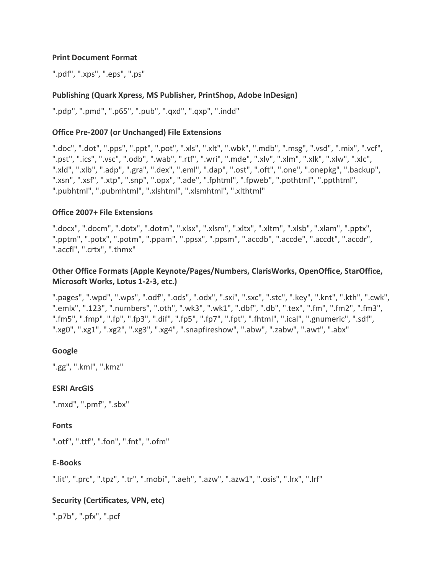#### **Print Document Format**

".pdf", ".xps", ".eps", ".ps"

#### **Publishing (Quark Xpress, MS Publisher, PrintShop, Adobe InDesign)**

".pdp", ".pmd", ".p65", ".pub", ".qxd", ".qxp", ".indd"

#### **Office Pre-2007 (or Unchanged) File Extensions**

".doc", ".dot", ".pps", ".ppt", ".pot", ".xls", ".xlt", ".wbk", ".mdb", ".msg", ".vsd", ".mix", ".vcf", ".pst", ".ics", ".vsc", ".odb", ".wab", ".rtf", ".wri", ".mde", ".xlv", ".xlm", ".xlk", ".xlw", ".xlc", ".xld", ".xlb", ".adp", ".gra", ".dex", ".eml", ".dap", ".ost", ".oft", ".one", ".onepkg", ".backup", ".xsn", ".xsf", ".xtp", ".snp", ".opx", ".ade", ".fphtml", ".fpweb", ".pothtml", ".ppthtml", ".pubhtml", ".pubmhtml", ".xlshtml", ".xlsmhtml", ".xlthtml"

#### **Office 2007+ File Extensions**

".docx", ".docm", ".dotx", ".dotm", ".xlsx", ".xlsm", ".xltx", ".xltm", ".xlsb", ".xlam", ".pptx", ".pptm", ".potx", ".potm", ".ppam", ".ppsx", ".ppsm", ".accdb", ".accde", ".accdt", ".accdr", ".accfl", ".crtx", ".thmx"

### **Other Office Formats (Apple Keynote/Pages/Numbers, ClarisWorks, OpenOffice, StarOffice, Microsoft Works, Lotus 1-2-3, etc.)**

".pages", ".wpd", ".wps", ".odf", ".ods", ".odx", ".sxi", ".sxc", ".stc", ".key", ".knt", ".kth", ".cwk", ".emlx", ".123", ".numbers", ".oth", ".wk3", ".wk1", ".dbf", ".db", ".tex", ".fm", ".fm2", ".fm3", ".fm5", ".fmp", ".fp", ".fp3", ".dif", ".fp5", ".fp7", ".fpt", ".fhtml", ".ical", ".gnumeric", ".sdf", ".xg0", ".xg1", ".xg2", ".xg3", ".xg4", ".snapfireshow", ".abw", ".zabw", ".awt", ".abx"

#### **Google**

".gg", ".kml", ".kmz"

#### **ESRI ArcGIS**

".mxd", ".pmf", ".sbx"

#### **Fonts**

```
".otf", ".ttf", ".fon", ".fnt", ".ofm"
```
#### **E-Books**

".lit", ".prc", ".tpz", ".tr", ".mobi", ".aeh", ".azw", ".azw1", ".osis", ".lrx", ".lrf"

#### **Security (Certificates, VPN, etc)**

".p7b", ".pfx", ".pcf